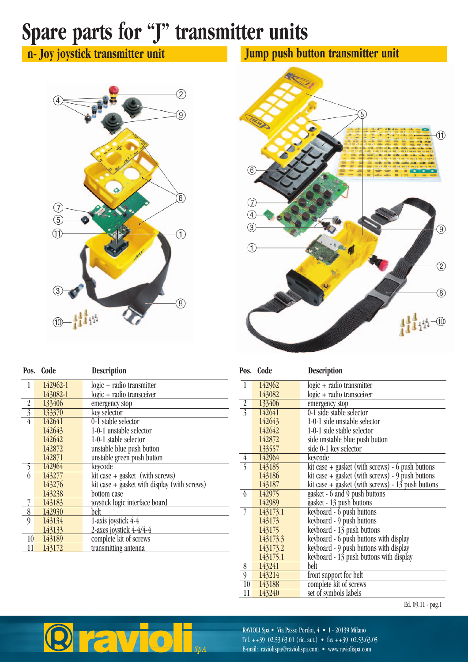## **Spare parts for "J" transmitter units**

**n- Joy joystick transmitter unit**



| Tan                             | $\overline{5}$<br>e<br>$q_{12}$<br>٠<br>ic de<br>$\sim$<br>÷<br>e.<br>dit e                                                                                                                                                                                                                                | <b>22 QT</b><br><b>CB STAR</b><br>- 6<br>$\bullet$<br>$rac{1}{2}$<br>$\circled{1}$<br>×.<br>$\bullet$<br><b>All A</b><br>سنست                                                                                                                                                                                                                                                                                                                                                                                                                              |
|---------------------------------|------------------------------------------------------------------------------------------------------------------------------------------------------------------------------------------------------------------------------------------------------------------------------------------------------------|------------------------------------------------------------------------------------------------------------------------------------------------------------------------------------------------------------------------------------------------------------------------------------------------------------------------------------------------------------------------------------------------------------------------------------------------------------------------------------------------------------------------------------------------------------|
| $\widehat{6}$                   | ilio:<br>a.<br>÷<br>ø<br>HH - 1<br>$= 0$<br>o<br>$\theta$<br>85 O.<br>ib.<br>$= 11$<br>÷<br>dile i<br><b>SE 12</b><br>8225<br>÷<br>testate<br>o.<br>.034<br>Ŧ<br><b>AND</b><br>an.<br><b>ERG</b><br>÷<br>282<br>$= 0$<br><b>ISSUE</b><br><b>MAY</b><br>Affa<br>we<br>$=$ $E0$<br>28<br>2015<br>Abien<br>22 | 14<br><b>SERVICE</b><br>295<br><b>STEP</b><br>一条<br>and pr<br>JET1<br><b>USE</b><br>page.<br>$-0011$<br><b>SIMPLY</b><br>$\overline{w}$ O :<br>100<br>$= 0$<br>$= 0.3001$<br>and p<br><b>IN LY UNITS METAL INCLUSIONS</b><br>調中<br>III OI<br>$\mathbf{u}$<br>$m$ O<br>$= 0.1$<br>$= 0.1$<br>$= 0.1$<br><b>HF-1</b><br><b>田-1</b><br>$-1$<br><b>THE OFF</b><br>$n = 1$<br><b>SECURE</b><br>$= 0$<br>$=8, =01,00$<br>1991<br>$\lim_{n\to\infty}\frac{d\mu_n}{d\mu_n}$<br>最 21<br>田田<br>WEEK<br><b>MALBALBAY</b><br>$\bullet$ T<br>哪<br>m<br>٠o<br>٠<br>1,523 |
| 7                               | Jut<br><b>RE</b><br>$-227$                                                                                                                                                                                                                                                                                 | t<br>m.<br>m                                                                                                                                                                                                                                                                                                                                                                                                                                                                                                                                               |
| $\overline{4}$<br>$\widehat{3}$ |                                                                                                                                                                                                                                                                                                            | $\widehat{9}$                                                                                                                                                                                                                                                                                                                                                                                                                                                                                                                                              |
| I                               |                                                                                                                                                                                                                                                                                                            | $\overline{2}$                                                                                                                                                                                                                                                                                                                                                                                                                                                                                                                                             |
|                                 |                                                                                                                                                                                                                                                                                                            | $\circledS$                                                                                                                                                                                                                                                                                                                                                                                                                                                                                                                                                |
|                                 |                                                                                                                                                                                                                                                                                                            | $111 - 10$                                                                                                                                                                                                                                                                                                                                                                                                                                                                                                                                                 |

**Jump push button transmitter unit**

|                  | Pos. Code             | <b>Description</b>                             | Pos.           | Code                  | <b>Description</b> |
|------------------|-----------------------|------------------------------------------------|----------------|-----------------------|--------------------|
| 1                | L <sub>42962-1</sub>  | logic + radio transmitter                      |                | L42962                | $logic + radio$    |
|                  | L <sub>4</sub> 3082-1 | logic + radio transceiver                      |                | L43082                | $logic + radio$    |
| $\boldsymbol{2}$ | L33406                | emergency stop                                 | $\overline{2}$ | L33406                | emergency sto      |
| $\overline{3}$   | L33370                | key selector                                   | $\overline{3}$ | L42641                | 0-1 side stabl     |
| $\overline{4}$   | L42641                | 0-1 stable selector                            |                | L42643                | $1-0-1$ side un    |
|                  | L42643                | 1-0-1 unstable selector                        |                | L <sub>42642</sub>    | $1-0-1$ side sta   |
|                  | L42642                | 1-0-1 stable selector                          |                | L <sub>42872</sub>    | side unstable      |
|                  | L42872                | unstable blue push button                      |                | L33557                | side 0-1 key s     |
|                  | L42871                | unstable green push button                     | $\overline{4}$ | L42964                | keycode            |
|                  | L <sub>42964</sub>    | keycode                                        | 5              | L <sub>4</sub> 3185   | $kit case + gas$   |
| $\sqrt{2}$       | L <sub>4</sub> 3277   | $kit case + gasket$ (with screws)              |                | L43186                | $kit case + gas$   |
|                  | L <sub>4</sub> 3276   | $kit case + gasket with display (with screws)$ |                | L43187                | kit case $+$ gas   |
|                  | L43238                | bottom case                                    | $\theta$       | L <sub>42975</sub>    | gasket - 6 and     |
|                  | L <sub>4</sub> 3183   | joystick logic interface board                 |                | L <sub>42989</sub>    | gasket - 13 pt     |
| 8                | L <sub>42930</sub>    | belt                                           | 7              | L <sub>4</sub> 3173.1 | keyboard - 6       |
| $\boldsymbol{Q}$ | L43134                | 1-axis joystick 4-4                            |                | L <sub>4</sub> 3173   | keyboard - 9       |
|                  | L43133                | 2-axes joystick 4-4/4-4                        |                | L <sub>4</sub> 3175   | keyboard - 13      |
| 10               | L <sub>43</sub> 189   | complete kit of screws                         |                | L43173.3              | keyboard - 6       |
| 11               | L43172                | transmitting antenna                           |                | L43173.2              | keyboard - 9       |
|                  |                       |                                                |                |                       |                    |

|                 |                       | Desemption                                          |
|-----------------|-----------------------|-----------------------------------------------------|
| $\mathbf{1}$    | L <sub>42962</sub>    | logic + radio transmitter                           |
|                 | L43082                | logic + radio transceiver                           |
| $\overline{2}$  | L33406                | emergency stop                                      |
| $\overline{3}$  | L42641                | 0-1 side stable selector                            |
|                 | L42643                | 1-0-1 side unstable selector                        |
|                 | L <sub>42642</sub>    | 1-0-1 side stable selector                          |
|                 | L42872                | side unstable blue push button                      |
|                 | L33557                | side 0-1 key selector                               |
| $\overline{4}$  | L42964                | keycode                                             |
| 5               | L <sub>43</sub> 185   | kit case $+$ gasket (with screws) $-6$ push buttons |
|                 | L <sub>43</sub> 186   | kit case $+$ gasket (with screws) - 9 push buttons  |
|                 | L43187                | kit case $+$ gasket (with screws) - 13 push buttons |
| 6               | L <sub>42975</sub>    | gasket - 6 and 9 push buttons                       |
|                 | L <sub>42989</sub>    | gasket - 13 push buttons                            |
| $\overline{7}$  | I43173.1              | keyboard - 6 push buttons                           |
|                 | L <sub>4</sub> 3173   | keyboard - 9 push buttons                           |
|                 | L <sub>43175</sub>    | keyboard - 13 push buttons                          |
|                 | L43173.3              | keyboard - 6 push buttons with display              |
|                 | L43173.2              | keyboard - 9 push buttons with display              |
|                 | L <sub>4</sub> 3175.1 | keyboard - 13 push buttons with display             |
| 8               | L43241                | belt                                                |
| $\overline{9}$  | L43214                | front support for belt                              |
| $\overline{10}$ | L <sub>4</sub> 3188   | complete kit of screws                              |
| 11              | L43240                | set of symbols labels                               |

Ed. 09.11 - pag.1



RAVIOLI Spa • Via Passo Pordoi, 4 • I - 20139 Milano Tel.  $++39$  02.53.63.01 (ric. aut.) • fax  $++39$  02.53.63.05 E-mail: raviolispa@raviolispa.com • www.raviolispa.com